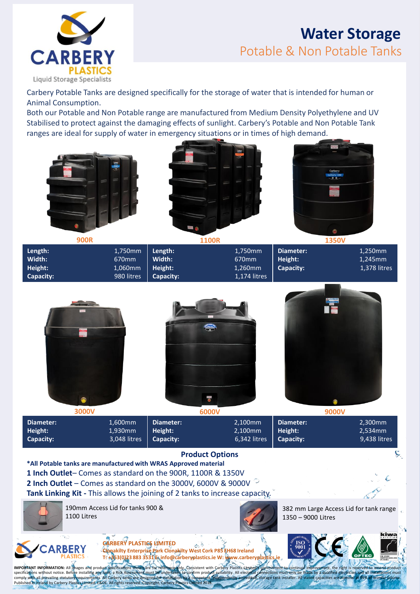

# **Water Storage** Potable & Non Potable Tanks

Carbery Potable Tanks are designed specifically for the storage of water that is intended for human or Animal Consumption.

Both our Potable and Non Potable range are manufactured from Medium Density Polyethylene and UV Stabilised to protect against the damaging effects of sunlight. Carbery's Potable and Non Potable Tank ranges are ideal for supply of water in emergency situations or in times of high demand.







| 900R                                      |                                           | <b>1100R</b>                              |                                                         | <b>1350V</b>                      |                                    |
|-------------------------------------------|-------------------------------------------|-------------------------------------------|---------------------------------------------------------|-----------------------------------|------------------------------------|
| Length:<br>Width:<br>Height:<br>Capacity: | 1,750mm<br>670mm<br>1,060mm<br>980 litres | Length:<br>Width:<br>Height:<br>Capacity: | 1,750mm<br>670 <sub>mm</sub><br>1,260mm<br>1,174 litres | Diameter:<br>Height:<br>Capacity: | 1,250mm<br>1,245mm<br>1,378 litres |



| Diameter: | 1,600mm   Diameter:              | 2.100mm                    | I Diameter: | 2,300mm      |
|-----------|----------------------------------|----------------------------|-------------|--------------|
| Height:   | 1,930mm   Height:                | $2,100$ mm   Height:       |             | 2.534mm      |
| Capacity: | $3,048$ litres $\vert$ Capacity: | $6,342$ litres   Capacity: |             | 9,438 litres |

### **Product Options**

specifications without notice. Before installing any tank, a Risk Assessment must be undertaken to confirm product suitability. All electrical connections must only be made by a qualified electrician and all installations

**\*All Potable tanks are manufactured with WRAS Approved material 1 Inch Outlet**– Comes as standard on the 900R, 1100R & 1350V **2 Inch Outlet** – Comes as standard on the 3000V, 6000V & 9000V **Tank Linking Kit -** This allows the joining of 2 tanks to increase capacity.

**IMPORTANT INFORMATION:** All images and product specifications shown are for reference only. Consistent with Carbery Plastics Limited incompositions without notice. Before installing any tank, a Risk Assessment must be und



190mm Access Lid for tanks 900 & 1100 Litres

specifications without notice. Before installing any tank, a Risk Assessment must be undertaken to confirm producomply with all prevailing statutory requirements. All Carbery tanks are designed for installation by a compet



382 mm Large Access Lid for tank range 1350 – 9000 Litres

 $\mathcal{L}$ 

Ĉ.

**Leisner** 



**CARBERY PLASTICS LIMITED**  $\mathcal{A}_{\mathcal{C}_{\mathcal{C}}}$ **Clonakilty Enterprise Park Clonakilty West Cork P85 EH68 Ireland T: +353(0)23 883 3531 E: info@carberyplastics.ie W: www.carberyplastics.ie**